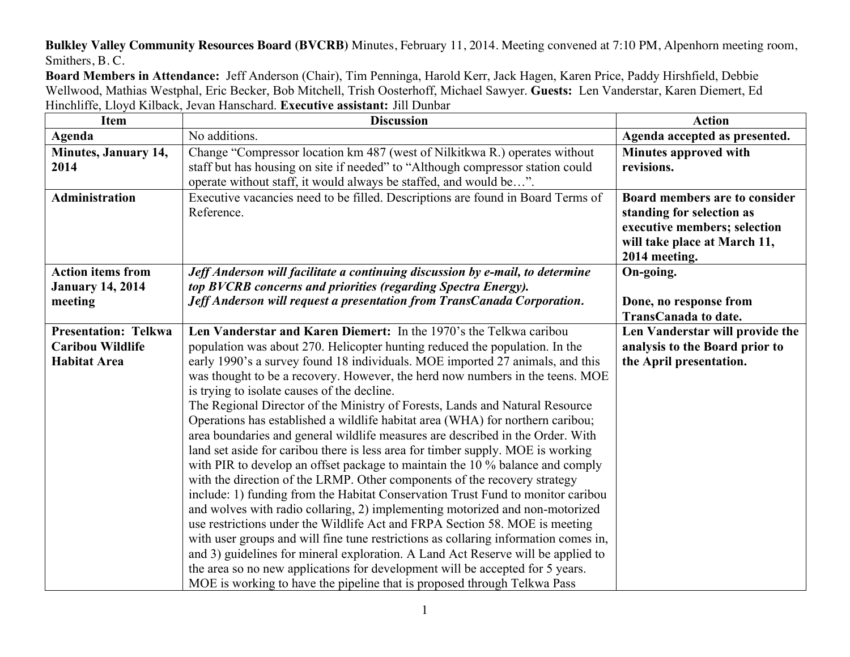**Bulkley Valley Community Resources Board (BVCRB)** Minutes, February 11, 2014. Meeting convened at 7:10 PM, Alpenhorn meeting room, Smithers, B. C.

**Board Members in Attendance:** Jeff Anderson (Chair), Tim Penninga, Harold Kerr, Jack Hagen, Karen Price, Paddy Hirshfield, Debbie Wellwood, Mathias Westphal, Eric Becker, Bob Mitchell, Trish Oosterhoff, Michael Sawyer. **Guests:** Len Vanderstar, Karen Diemert, Ed Hinchliffe, Lloyd Kilback, Jevan Hanschard. **Executive assistant:** Jill Dunbar

| <b>Item</b>                 | <b>Discussion</b>                                                                   | <b>Action</b>                   |
|-----------------------------|-------------------------------------------------------------------------------------|---------------------------------|
| Agenda                      | No additions.                                                                       | Agenda accepted as presented.   |
| Minutes, January 14,        | Change "Compressor location km 487 (west of Nilkitkwa R.) operates without          | Minutes approved with           |
| 2014                        | staff but has housing on site if needed" to "Although compressor station could      | revisions.                      |
|                             | operate without staff, it would always be staffed, and would be".                   |                                 |
| <b>Administration</b>       | Executive vacancies need to be filled. Descriptions are found in Board Terms of     | Board members are to consider   |
|                             | Reference.                                                                          | standing for selection as       |
|                             |                                                                                     | executive members; selection    |
|                             |                                                                                     | will take place at March 11,    |
|                             |                                                                                     | 2014 meeting.                   |
| <b>Action items from</b>    | Jeff Anderson will facilitate a continuing discussion by e-mail, to determine       | On-going.                       |
| <b>January 14, 2014</b>     | top BVCRB concerns and priorities (regarding Spectra Energy).                       |                                 |
| meeting                     | Jeff Anderson will request a presentation from TransCanada Corporation.             | Done, no response from          |
|                             |                                                                                     | <b>TransCanada to date.</b>     |
| <b>Presentation: Telkwa</b> | Len Vanderstar and Karen Diemert: In the 1970's the Telkwa caribou                  | Len Vanderstar will provide the |
| <b>Caribou Wildlife</b>     | population was about 270. Helicopter hunting reduced the population. In the         | analysis to the Board prior to  |
| <b>Habitat Area</b>         | early 1990's a survey found 18 individuals. MOE imported 27 animals, and this       | the April presentation.         |
|                             | was thought to be a recovery. However, the herd now numbers in the teens. MOE       |                                 |
|                             | is trying to isolate causes of the decline.                                         |                                 |
|                             | The Regional Director of the Ministry of Forests, Lands and Natural Resource        |                                 |
|                             | Operations has established a wildlife habitat area (WHA) for northern caribou;      |                                 |
|                             | area boundaries and general wildlife measures are described in the Order. With      |                                 |
|                             | land set aside for caribou there is less area for timber supply. MOE is working     |                                 |
|                             | with PIR to develop an offset package to maintain the 10 % balance and comply       |                                 |
|                             | with the direction of the LRMP. Other components of the recovery strategy           |                                 |
|                             | include: 1) funding from the Habitat Conservation Trust Fund to monitor caribou     |                                 |
|                             | and wolves with radio collaring, 2) implementing motorized and non-motorized        |                                 |
|                             | use restrictions under the Wildlife Act and FRPA Section 58. MOE is meeting         |                                 |
|                             | with user groups and will fine tune restrictions as collaring information comes in, |                                 |
|                             | and 3) guidelines for mineral exploration. A Land Act Reserve will be applied to    |                                 |
|                             | the area so no new applications for development will be accepted for 5 years.       |                                 |
|                             | MOE is working to have the pipeline that is proposed through Telkwa Pass            |                                 |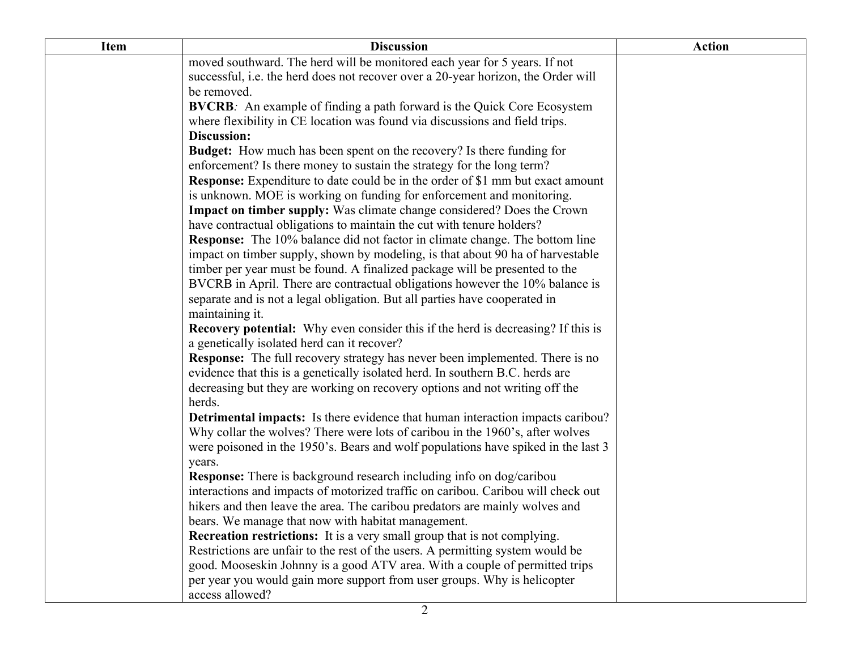| <b>Item</b> | <b>Discussion</b>                                                                       | <b>Action</b> |
|-------------|-----------------------------------------------------------------------------------------|---------------|
|             | moved southward. The herd will be monitored each year for 5 years. If not               |               |
|             | successful, i.e. the herd does not recover over a 20-year horizon, the Order will       |               |
|             | be removed.                                                                             |               |
|             | <b>BVCRB:</b> An example of finding a path forward is the Quick Core Ecosystem          |               |
|             | where flexibility in CE location was found via discussions and field trips.             |               |
|             | Discussion:                                                                             |               |
|             | <b>Budget:</b> How much has been spent on the recovery? Is there funding for            |               |
|             | enforcement? Is there money to sustain the strategy for the long term?                  |               |
|             | <b>Response:</b> Expenditure to date could be in the order of \$1 mm but exact amount   |               |
|             | is unknown. MOE is working on funding for enforcement and monitoring.                   |               |
|             | <b>Impact on timber supply:</b> Was climate change considered? Does the Crown           |               |
|             | have contractual obligations to maintain the cut with tenure holders?                   |               |
|             | <b>Response:</b> The 10% balance did not factor in climate change. The bottom line      |               |
|             | impact on timber supply, shown by modeling, is that about 90 ha of harvestable          |               |
|             | timber per year must be found. A finalized package will be presented to the             |               |
|             | BVCRB in April. There are contractual obligations however the 10% balance is            |               |
|             | separate and is not a legal obligation. But all parties have cooperated in              |               |
|             | maintaining it.                                                                         |               |
|             | <b>Recovery potential:</b> Why even consider this if the herd is decreasing? If this is |               |
|             | a genetically isolated herd can it recover?                                             |               |
|             | <b>Response:</b> The full recovery strategy has never been implemented. There is no     |               |
|             | evidence that this is a genetically isolated herd. In southern B.C. herds are           |               |
|             | decreasing but they are working on recovery options and not writing off the<br>herds.   |               |
|             | <b>Detrimental impacts:</b> Is there evidence that human interaction impacts caribou?   |               |
|             | Why collar the wolves? There were lots of caribou in the 1960's, after wolves           |               |
|             | were poisoned in the 1950's. Bears and wolf populations have spiked in the last 3       |               |
|             | years.                                                                                  |               |
|             | <b>Response:</b> There is background research including info on dog/caribou             |               |
|             | interactions and impacts of motorized traffic on caribou. Caribou will check out        |               |
|             | hikers and then leave the area. The caribou predators are mainly wolves and             |               |
|             | bears. We manage that now with habitat management.                                      |               |
|             | <b>Recreation restrictions:</b> It is a very small group that is not complying.         |               |
|             | Restrictions are unfair to the rest of the users. A permitting system would be          |               |
|             | good. Mooseskin Johnny is a good ATV area. With a couple of permitted trips             |               |
|             | per year you would gain more support from user groups. Why is helicopter                |               |
|             | access allowed?                                                                         |               |